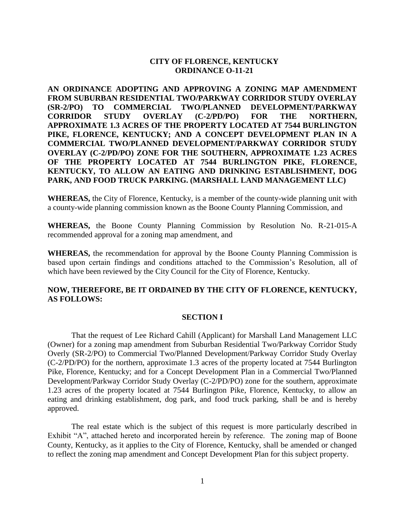# **CITY OF FLORENCE, KENTUCKY ORDINANCE O-11-21**

**AN ORDINANCE ADOPTING AND APPROVING A ZONING MAP AMENDMENT FROM SUBURBAN RESIDENTIAL TWO/PARKWAY CORRIDOR STUDY OVERLAY (SR-2/PO) TO COMMERCIAL TWO/PLANNED DEVELOPMENT/PARKWAY CORRIDOR STUDY OVERLAY (C-2/PD/PO) FOR THE NORTHERN, APPROXIMATE 1.3 ACRES OF THE PROPERTY LOCATED AT 7544 BURLINGTON PIKE, FLORENCE, KENTUCKY; AND A CONCEPT DEVELOPMENT PLAN IN A COMMERCIAL TWO/PLANNED DEVELOPMENT/PARKWAY CORRIDOR STUDY OVERLAY (C-2/PD/PO) ZONE FOR THE SOUTHERN, APPROXIMATE 1.23 ACRES OF THE PROPERTY LOCATED AT 7544 BURLINGTON PIKE, FLORENCE, KENTUCKY, TO ALLOW AN EATING AND DRINKING ESTABLISHMENT, DOG PARK, AND FOOD TRUCK PARKING. (MARSHALL LAND MANAGEMENT LLC)**

**WHEREAS,** the City of Florence, Kentucky, is a member of the county-wide planning unit with a county-wide planning commission known as the Boone County Planning Commission, and

**WHEREAS,** the Boone County Planning Commission by Resolution No. R-21-015-A recommended approval for a zoning map amendment, and

**WHEREAS,** the recommendation for approval by the Boone County Planning Commission is based upon certain findings and conditions attached to the Commission's Resolution, all of which have been reviewed by the City Council for the City of Florence, Kentucky.

## **NOW, THEREFORE, BE IT ORDAINED BY THE CITY OF FLORENCE, KENTUCKY, AS FOLLOWS:**

#### **SECTION I**

That the request of Lee Richard Cahill (Applicant) for Marshall Land Management LLC (Owner) for a zoning map amendment from Suburban Residential Two/Parkway Corridor Study Overly (SR-2/PO) to Commercial Two/Planned Development/Parkway Corridor Study Overlay (C-2/PD/PO) for the northern, approximate 1.3 acres of the property located at 7544 Burlington Pike, Florence, Kentucky; and for a Concept Development Plan in a Commercial Two/Planned Development/Parkway Corridor Study Overlay (C-2/PD/PO) zone for the southern, approximate 1.23 acres of the property located at 7544 Burlington Pike, Florence, Kentucky, to allow an eating and drinking establishment, dog park, and food truck parking, shall be and is hereby approved.

The real estate which is the subject of this request is more particularly described in Exhibit "A", attached hereto and incorporated herein by reference. The zoning map of Boone County, Kentucky, as it applies to the City of Florence, Kentucky, shall be amended or changed to reflect the zoning map amendment and Concept Development Plan for this subject property.